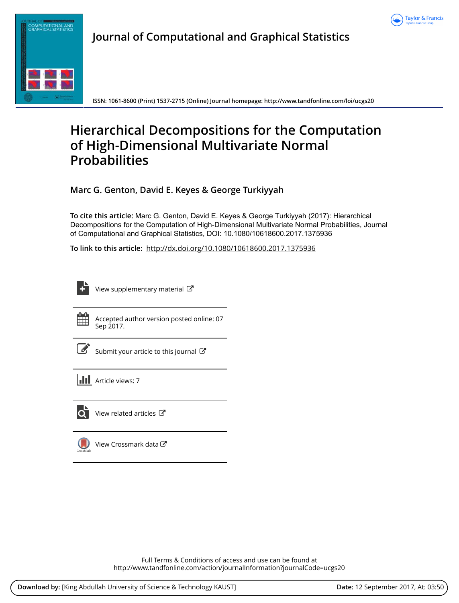



**Journal of Computational and Graphical Statistics**

**ISSN: 1061-8600 (Print) 1537-2715 (Online) Journal homepage:<http://www.tandfonline.com/loi/ucgs20>**

# **Hierarchical Decompositions for the Computation of High-Dimensional Multivariate Normal Probabilities**

**Marc G. Genton, David E. Keyes & George Turkiyyah**

**To cite this article:** Marc G. Genton, David E. Keyes & George Turkiyyah (2017): Hierarchical Decompositions for the Computation of High-Dimensional Multivariate Normal Probabilities, Journal of Computational and Graphical Statistics, DOI: [10.1080/10618600.2017.1375936](http://www.tandfonline.com/action/showCitFormats?doi=10.1080/10618600.2017.1375936)

**To link to this article:** <http://dx.doi.org/10.1080/10618600.2017.1375936>



[View supplementary material](http://www.tandfonline.com/doi/suppl/10.1080/10618600.2017.1375936)  $\mathbb{Z}$ 



Accepted author version posted online: 07 Sep 2017.



[Submit your article to this journal](http://www.tandfonline.com/action/authorSubmission?journalCode=ucgs20&show=instructions)  $\mathbb{Z}$ 

**III** Article views: 7



View related articles

[View Crossmark data](http://crossmark.crossref.org/dialog/?doi=10.1080/10618600.2017.1375936&domain=pdf&date_stamp=2017-09-07)<sup>™</sup>

Full Terms & Conditions of access and use can be found at <http://www.tandfonline.com/action/journalInformation?journalCode=ucgs20>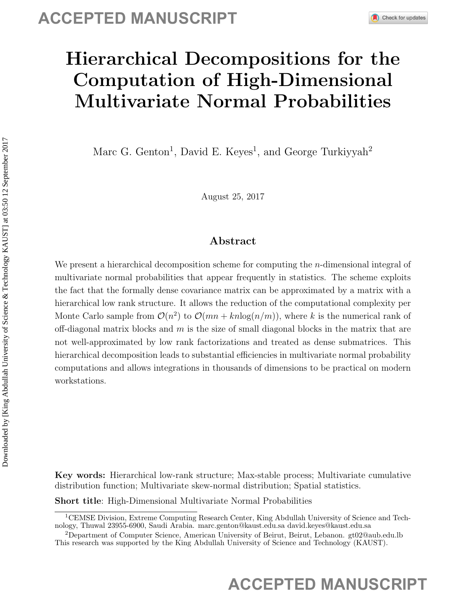# Hierarchical Decompositions for the Computation of High-Dimensional Multivariate Normal Probabilities

Marc G. Genton<sup>1</sup>, David E. Keyes<sup>1</sup>, and George Turkiyyah<sup>2</sup>

August 25, 2017

## Abstract

We present a hierarchical decomposition scheme for computing the *n*-dimensional integral of multivariate normal probabilities that appear frequently in statistics. The scheme exploits the fact that the formally dense covariance matrix can be approximated by a matrix with a hierarchical low rank structure. It allows the reduction of the computational complexity per Monte Carlo sample from  $\mathcal{O}(n^2)$  to  $\mathcal{O}(mn + kn\log(n/m))$ , where k is the numerical rank of off-diagonal matrix blocks and  $m$  is the size of small diagonal blocks in the matrix that are not well-approximated by low rank factorizations and treated as dense submatrices. This hierarchical decomposition leads to substantial efficiencies in multivariate normal probability computations and allows integrations in thousands of dimensions to be practical on modern workstations. **ACCEPTED MANUSCRIPT**<br> **ACCEPTED MANUSCRIPT**<br> **ACCEPTED MANUSCRIPT**<br> **ACCEPTED MANUSCRIPT**<br> **ACCEPTED MANUSCRIPT**<br> **ACCEPTED MANUSCRIPT**<br> **ACCEPTED MANUSCRIPT**<br> **ACCEPTED MANUSCRIPT**<br> **ACCEPTED MANUSCRIPT**<br> **ACCEPTED MANUS** 

Key words: Hierarchical low-rank structure; Max-stable process; Multivariate cumulative distribution function; Multivariate skew-normal distribution; Spatial statistics.

Short title: High-Dimensional Multivariate Normal Probabilities

<sup>1</sup>CEMSE Division, Extreme Computing Research Center, King Abdullah University of Science and Technology, Thuwal 23955-6900, Saudi Arabia. marc.genton@kaust.edu.sa david.keyes@kaust.edu.sa

<sup>2</sup>Department of Computer Science, American University of Beirut, Beirut, Lebanon. gt02@aub.edu.lb This research was supported by the King Abdullah University of Science and Technology (KAUST).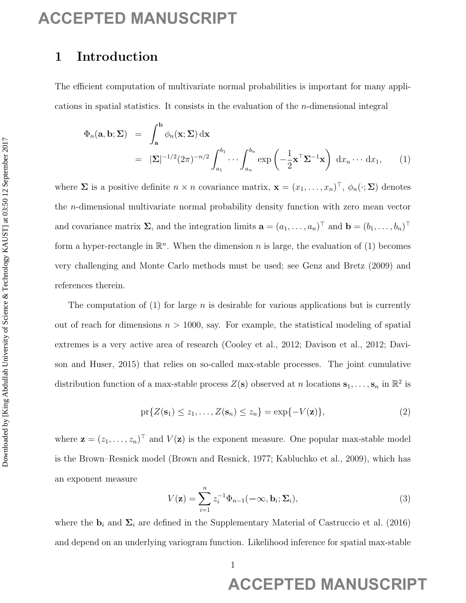## 1 Introduction

The efficient computation of multivariate normal probabilities is important for many applications in spatial statistics. It consists in the evaluation of the  $n$ -dimensional integral

$$
\Phi_n(\mathbf{a}, \mathbf{b}; \Sigma) = \int_{\mathbf{a}}^{\mathbf{b}} \phi_n(\mathbf{x}; \Sigma) d\mathbf{x} \n= |\Sigma|^{-1/2} (2\pi)^{-n/2} \int_{a_1}^{b_1} \cdots \int_{a_n}^{b_n} \exp\left(-\frac{1}{2}\mathbf{x}^\top \Sigma^{-1} \mathbf{x}\right) d x_n \cdots d x_1,
$$
\n(1)

where  $\Sigma$  is a positive definite  $n \times n$  covariance matrix,  $\mathbf{x} = (x_1, \dots, x_n)^\top$ ,  $\phi_n(\cdot; \Sigma)$  denotes the n-dimensional multivariate normal probability density function with zero mean vector and covariance matrix  $\Sigma$ , and the integration limits  $\mathbf{a} = (a_1, \ldots, a_n)^\top$  and  $\mathbf{b} = (b_1, \ldots, b_n)^\top$ form a hyper-rectangle in  $\mathbb{R}^n$ . When the dimension n is large, the evaluation of (1) becomes very challenging and Monte Carlo methods must be used; see Genz and Bretz (2009) and references therein. **ACCEPTED MANUSCRIPT**<br> **I** Introduction of activation streamly probabilists is important for many applications in applied size is a positive streamlest and the relation of the system of  $\phi_n(n, b; \Sigma) = \int_0^{\infty} \phi_n(x; \Sigma) dx$ ,  $\$ 

The computation of (1) for large n is desirable for various applications but is currently out of reach for dimensions  $n > 1000$ , say. For example, the statistical modeling of spatial extremes is a very active area of research (Cooley et al., 2012; Davison et al., 2012; Davison and Huser, 2015) that relies on so-called max-stable processes. The joint cumulative distribution function of a max-stable process  $Z(\mathbf{s})$  observed at n locations  $\mathbf{s}_1, \ldots, \mathbf{s}_n$  in  $\mathbb{R}^2$  is

$$
\text{pr}\{Z(\mathbf{s}_1) \le z_1, \dots, Z(\mathbf{s}_n) \le z_n\} = \exp\{-V(\mathbf{z})\},\tag{2}
$$

where  $\mathbf{z} = (z_1, \ldots, z_n)^\top$  and  $V(\mathbf{z})$  is the exponent measure. One popular max-stable model is the Brown–Resnick model (Brown and Resnick, 1977; Kabluchko et al., 2009), which has an exponent measure

$$
V(\mathbf{z}) = \sum_{i=1}^{n} z_i^{-1} \Phi_{n-1}(-\infty, \mathbf{b}_i; \Sigma_i),
$$
\n(3)

where the  $\mathbf{b}_i$  and  $\Sigma_i$  are defined in the Supplementary Material of Castruccio et al. (2016) and depend on an underlying variogram function. Likelihood inference for spatial max-stable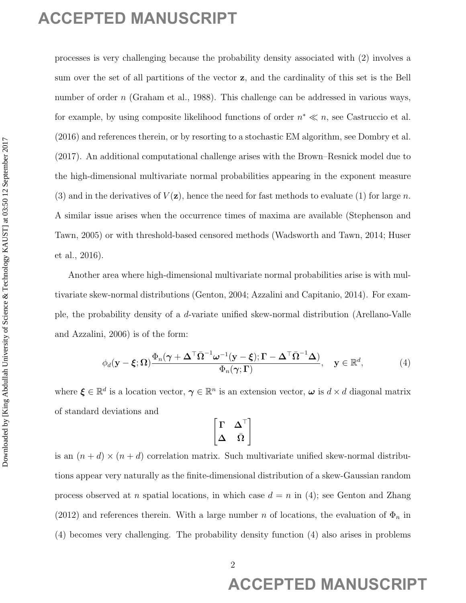processes is very challenging because the probability density associated with (2) involves a sum over the set of all partitions of the vector z, and the cardinality of this set is the Bell number of order n (Graham et al., 1988). This challenge can be addressed in various ways, for example, by using composite likelihood functions of order  $n^* \ll n$ , see Castruccio et al. (2016) and references therein, or by resorting to a stochastic EM algorithm, see Dombry et al. (2017). An additional computational challenge arises with the Brown–Resnick model due to the high-dimensional multivariate normal probabilities appearing in the exponent measure (3) and in the derivatives of  $V(\mathbf{z})$ , hence the need for fast methods to evaluate (1) for large n. A similar issue arises when the occurrence times of maxima are available (Stephenson and Tawn, 2005) or with threshold-based censored methods (Wadsworth and Tawn, 2014; Huser et al., 2016). **ACCEPTED MANUSCRIPT**<br>
process as very dellarging become the probability density associated with (2) analogs a<br>
personance of order  $\alpha$  (Grabon et al., 1985). This chalongs one be obstressed in version was<br>
to consider o

Another area where high-dimensional multivariate normal probabilities arise is with multivariate skew-normal distributions (Genton, 2004; Azzalini and Capitanio, 2014). For example, the probability density of a d-variate unified skew-normal distribution (Arellano-Valle and Azzalini, 2006) is of the form:

$$
\phi_d(\mathbf{y}-\boldsymbol{\xi};\Omega)\frac{\Phi_n(\boldsymbol{\gamma}+\boldsymbol{\Delta}^\top\bar{\Omega}^{-1}\boldsymbol{\omega}^{-1}(\mathbf{y}-\boldsymbol{\xi});\Gamma-\boldsymbol{\Delta}^\top\bar{\Omega}^{-1}\boldsymbol{\Delta})}{\Phi_n(\boldsymbol{\gamma};\Gamma)},\quad \mathbf{y}\in\mathbb{R}^d,\tag{4}
$$

where  $\xi \in \mathbb{R}^d$  is a location vector,  $\gamma \in \mathbb{R}^n$  is an extension vector,  $\omega$  is  $d \times d$  diagonal matrix of standard deviations and

$$
\begin{bmatrix} \Gamma & \Delta^\top \\ \Delta & \bar{\Omega} \end{bmatrix}
$$

is an  $(n + d) \times (n + d)$  correlation matrix. Such multivariate unified skew-normal distributions appear very naturally as the finite-dimensional distribution of a skew-Gaussian random process observed at n spatial locations, in which case  $d = n$  in (4); see Genton and Zhang (2012) and references therein. With a large number n of locations, the evaluation of  $\Phi_n$  in (4) becomes very challenging. The probability density function (4) also arises in problems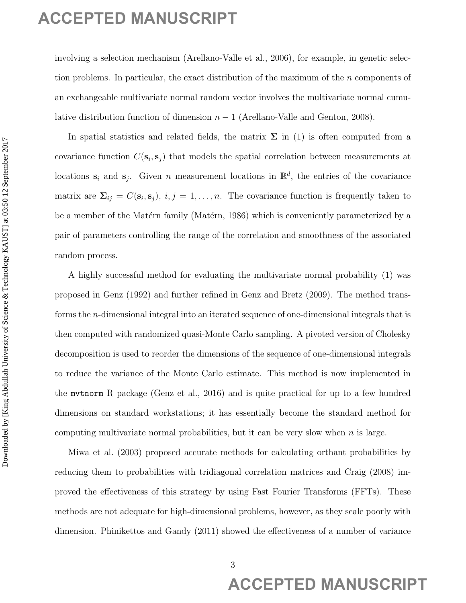involving a selection mechanism (Arellano-Valle et al., 2006), for example, in genetic selection problems. In particular, the exact distribution of the maximum of the n components of an exchangeable multivariate normal random vector involves the multivariate normal cumulative distribution function of dimension  $n - 1$  (Arellano-Valle and Genton, 2008).

In spatial statistics and related fields, the matrix  $\Sigma$  in (1) is often computed from a covariance function  $C(\mathbf{s}_i, \mathbf{s}_j)$  that models the spatial correlation between measurements at locations  $s_i$  and  $s_j$ . Given n measurement locations in  $\mathbb{R}^d$ , the entries of the covariance matrix are  $\Sigma_{ij} = C(\mathbf{s}_i, \mathbf{s}_j), i, j = 1, \dots, n$ . The covariance function is frequently taken to be a member of the Matérn family (Matérn, 1986) which is conveniently parameterized by a pair of parameters controlling the range of the correlation and smoothness of the associated random process.

A highly successful method for evaluating the multivariate normal probability (1) was proposed in Genz (1992) and further refined in Genz and Bretz (2009). The method transforms the n-dimensional integral into an iterated sequence of one-dimensional integrals that is then computed with randomized quasi-Monte Carlo sampling. A pivoted version of Cholesky decomposition is used to reorder the dimensions of the sequence of one-dimensional integrals to reduce the variance of the Monte Carlo estimate. This method is now implemented in the mvtnorm R package (Genz et al., 2016) and is quite practical for up to a few hundred dimensions on standard workstations; it has essentially become the standard method for computing multivariate normal probabilities, but it can be very slow when  $n$  is large. ACCEPTED MANUSCRIPT<br>
including a relation conclusion (Articum Value in Al. 2005) for example, in genetic scheme<br>
then professor in pericipitative correlation of the member of the correlation<br>
are consequented considered b

Miwa et al. (2003) proposed accurate methods for calculating orthant probabilities by reducing them to probabilities with tridiagonal correlation matrices and Craig (2008) improved the effectiveness of this strategy by using Fast Fourier Transforms (FFTs). These methods are not adequate for high-dimensional problems, however, as they scale poorly with dimension. Phinikettos and Gandy (2011) showed the effectiveness of a number of variance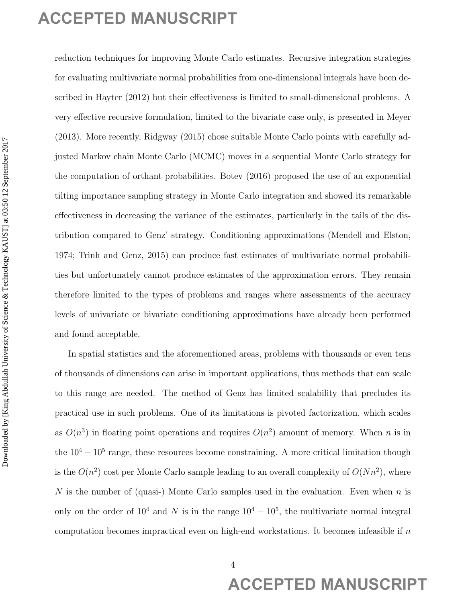reduction techniques for improving Monte Carlo estimates. Recursive integration strategies for evaluating multivariate normal probabilities from one-dimensional integrals have been described in Hayter (2012) but their effectiveness is limited to small-dimensional problems. A very effective recursive formulation, limited to the bivariate case only, is presented in Meyer (2013). More recently, Ridgway (2015) chose suitable Monte Carlo points with carefully adjusted Markov chain Monte Carlo (MCMC) moves in a sequential Monte Carlo strategy for the computation of orthant probabilities. Botev (2016) proposed the use of an exponential tilting importance sampling strategy in Monte Carlo integration and showed its remarkable effectiveness in decreasing the variance of the estimates, particularly in the tails of the distribution compared to Genz' strategy. Conditioning approximations (Mendell and Elston, 1974; Trinh and Genz, 2015) can produce fast estimates of multivariate normal probabilities but unfortunately cannot produce estimates of the approximation errors. They remain therefore limited to the types of problems and ranges where assessments of the accuracy levels of univariate or bivariate conditioning approximations have already been performed and found acceptable. **ACCEPTED MANUSCRIPT**<br>
making and simple for improving Monte Carb estimates. Recursive integrations simple for extending reministration terms probabilities from our directions integrations on the second integration of the

In spatial statistics and the aforementioned areas, problems with thousands or even tens of thousands of dimensions can arise in important applications, thus methods that can scale to this range are needed. The method of Genz has limited scalability that precludes its practical use in such problems. One of its limitations is pivoted factorization, which scales as  $O(n^3)$  in floating point operations and requires  $O(n^2)$  amount of memory. When n is in the  $10^4 - 10^5$  range, these resources become constraining. A more critical limitation though is the  $O(n^2)$  cost per Monte Carlo sample leading to an overall complexity of  $O(Nn^2)$ , where N is the number of (quasi-) Monte Carlo samples used in the evaluation. Even when  $n$  is only on the order of  $10^4$  and N is in the range  $10^4 - 10^5$ , the multivariate normal integral computation becomes impractical even on high-end workstations. It becomes infeasible if n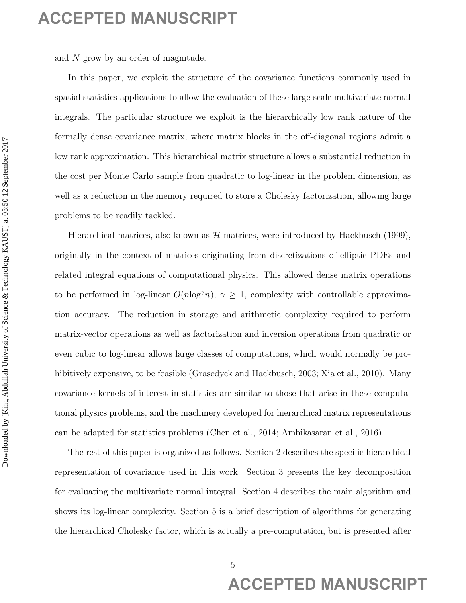and N grow by an order of magnitude.

In this paper, we exploit the structure of the covariance functions commonly used in spatial statistics applications to allow the evaluation of these large-scale multivariate normal integrals. The particular structure we exploit is the hierarchically low rank nature of the formally dense covariance matrix, where matrix blocks in the off-diagonal regions admit a low rank approximation. This hierarchical matrix structure allows a substantial reduction in the cost per Monte Carlo sample from quadratic to log-linear in the problem dimension, as well as a reduction in the memory required to store a Cholesky factorization, allowing large problems to be readily tackled.

Hierarchical matrices, also known as  $H$ -matrices, were introduced by Hackbusch (1999), originally in the context of matrices originating from discretizations of elliptic PDEs and related integral equations of computational physics. This allowed dense matrix operations to be performed in log-linear  $O(n \log^{\gamma} n)$ ,  $\gamma \geq 1$ , complexity with controllable approximation accuracy. The reduction in storage and arithmetic complexity required to perform matrix-vector operations as well as factorization and inversion operations from quadratic or even cubic to log-linear allows large classes of computations, which would normally be prohibitively expensive, to be feasible (Grasedyck and Hackbusch, 2003; Xia et al., 2010). Many covariance kernels of interest in statistics are similar to those that arise in these computational physics problems, and the machinery developed for hierarchical matrix representations can be adapted for statistics problems (Chen et al., 2014; Ambikasaran et al., 2016). ACCEPTED MANUSCRIPT<br>
and *X* gives by an oreplais the similators of the continuo functions converted to the stationary of the stationary of the stationary of the stationary of the stationary of the stationary of the stati

The rest of this paper is organized as follows. Section 2 describes the specific hierarchical representation of covariance used in this work. Section 3 presents the key decomposition for evaluating the multivariate normal integral. Section 4 describes the main algorithm and shows its log-linear complexity. Section 5 is a brief description of algorithms for generating the hierarchical Cholesky factor, which is actually a pre-computation, but is presented after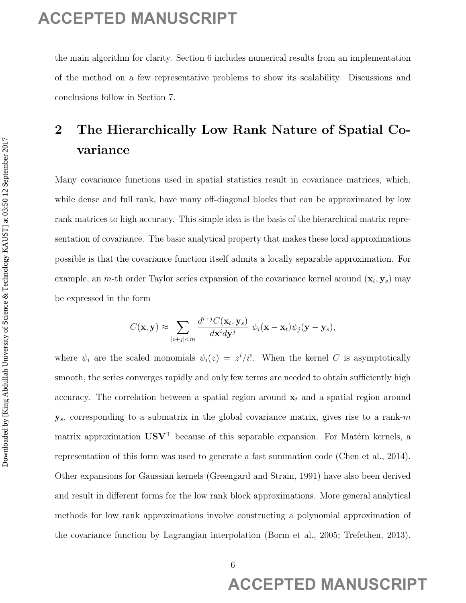the main algorithm for clarity. Section 6 includes numerical results from an implementation of the method on a few representative problems to show its scalability. Discussions and conclusions follow in Section 7.

# 2 The Hierarchically Low Rank Nature of Spatial Covariance

Many covariance functions used in spatial statistics result in covariance matrices, which, while dense and full rank, have many off-diagonal blocks that can be approximated by low rank matrices to high accuracy. This simple idea is the basis of the hierarchical matrix representation of covariance. The basic analytical property that makes these local approximations possible is that the covariance function itself admits a locally separable approximation. For example, an *m*-th order Taylor series expansion of the covariance kernel around  $(\mathbf{x}_t, \mathbf{y}_s)$  may be expressed in the form

$$
C(\mathbf{x}, \mathbf{y}) \approx \sum_{|i+j| < m} \frac{d^{i+j}C(\mathbf{x}_t, \mathbf{y}_s)}{d\mathbf{x}^i d\mathbf{y}^j} \ \psi_i(\mathbf{x} - \mathbf{x}_t) \psi_j(\mathbf{y} - \mathbf{y}_s),
$$

where  $\psi_i$  are the scaled monomials  $\psi_i(z) = z^i/i!$ . When the kernel C is asymptotically smooth, the series converges rapidly and only few terms are needed to obtain sufficiently high accuracy. The correlation between a spatial region around  $x_t$  and a spatial region around  $y_s$ , corresponding to a submatrix in the global covariance matrix, gives rise to a rank-m matrix approximation  $\mathbf{U}\mathbf{S}\mathbf{V}^{\top}$  because of this separable expansion. For Matérn kernels, a representation of this form was used to generate a fast summation code (Chen et al., 2014). Other expansions for Gaussian kernels (Greengard and Strain, 1991) have also been derived and result in different forms for the low rank block approximations. More general analytical methods for low rank approximations involve constructing a polynomial approximation of the covariance function by Lagrangian interpolation (Borm et al., 2005; Trefethen, 2013). **ACCEPTED MANUSCRIPT**<br>
the non-algorithm is clusted, System 6 includes nonrelate real focus at implementation<br>
of the rechect on a for expression present to some its semisitivy. Discussions and<br>
conductions follow in Sect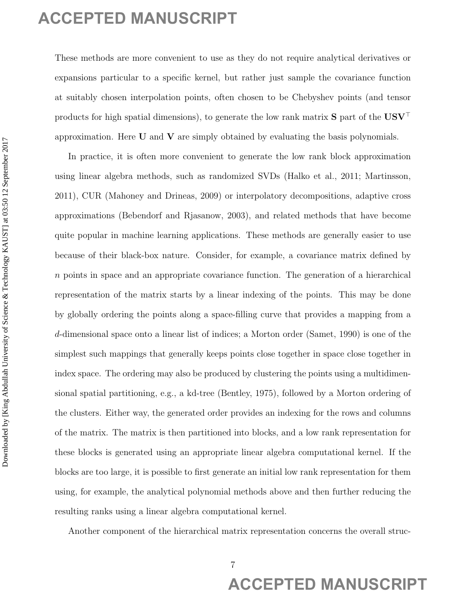These methods are more convenient to use as they do not require analytical derivatives or expansions particular to a specific kernel, but rather just sample the covariance function at suitably chosen interpolation points, often chosen to be Chebyshev points (and tensor products for high spatial dimensions), to generate the low rank matrix  $S$  part of the  $USV<sup>T</sup>$ approximation. Here  $U$  and  $V$  are simply obtained by evaluating the basis polynomials.

In practice, it is often more convenient to generate the low rank block approximation using linear algebra methods, such as randomized SVDs (Halko et al., 2011; Martinsson, 2011), CUR (Mahoney and Drineas, 2009) or interpolatory decompositions, adaptive cross approximations (Bebendorf and Rjasanow, 2003), and related methods that have become quite popular in machine learning applications. These methods are generally easier to use because of their black-box nature. Consider, for example, a covariance matrix defined by n points in space and an appropriate covariance function. The generation of a hierarchical representation of the matrix starts by a linear indexing of the points. This may be done by globally ordering the points along a space-filling curve that provides a mapping from a d-dimensional space onto a linear list of indices; a Morton order (Samet, 1990) is one of the simplest such mappings that generally keeps points close together in space close together in index space. The ordering may also be produced by clustering the points using a multidimensional spatial partitioning, e.g., a kd-tree (Bentley, 1975), followed by a Morton ordering of the clusters. Either way, the generated order provides an indexing for the rows and columns of the matrix. The matrix is then partitioned into blocks, and a low rank representation for these blocks is generated using an appropriate linear algebra computational kernel. If the blocks are too large, it is possible to first generate an initial low rank representation for them using, for example, the analytical polynomial methods above and then further reducing the resulting ranks using a linear algebra computational kernel. **ACCEPTED MANUSCRIPT**<br>
These metabols are non-tunneledologies also by domologing analytical derivatives or<br>
certainly chosen interpolation points, efter detect the real of Science West Contributes<br>
as extended about interp

Another component of the hierarchical matrix representation concerns the overall struc-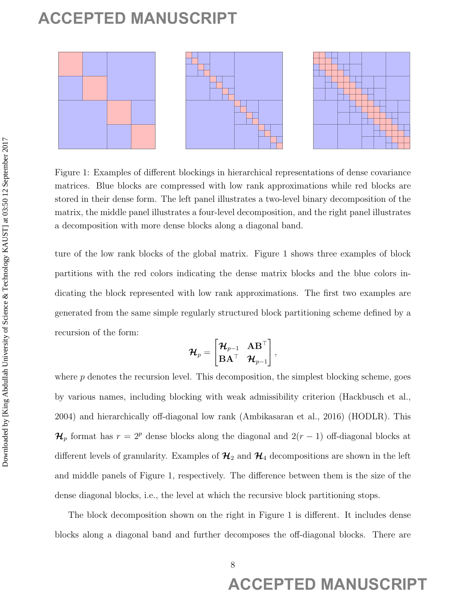

Figure 1: Examples of different blockings in hierarchical representations of dense covariance matrices. Blue blocks are compressed with low rank approximations while red blocks are stored in their dense form. The left panel illustrates a two-level binary decomposition of the matrix, the middle panel illustrates a four-level decomposition, and the right panel illustrates a decomposition with more dense blocks along a diagonal band.

ture of the low rank blocks of the global matrix. Figure 1 shows three examples of block partitions with the red colors indicating the dense matrix blocks and the blue colors indicating the block represented with low rank approximations. The first two examples are generated from the same simple regularly structured block partitioning scheme defined by a recursion of the form:

$$
\boldsymbol{\mathcal{H}}_p = \begin{bmatrix} \boldsymbol{\mathcal{H}}_{p-1} & \mathbf{A} \mathbf{B}^\top \\ \mathbf{B} \mathbf{A}^\top & \boldsymbol{\mathcal{H}}_{p-1} \end{bmatrix},
$$

where  $p$  denotes the recursion level. This decomposition, the simplest blocking scheme, goes by various names, including blocking with weak admissibility criterion (Hackbusch et al., 2004) and hierarchically off-diagonal low rank (Ambikasaran et al., 2016) (HODLR). This  $\mathcal{H}_p$  format has  $r = 2^p$  dense blocks along the diagonal and  $2(r-1)$  off-diagonal blocks at different levels of granularity. Examples of  $\mathcal{H}_2$  and  $\mathcal{H}_4$  decompositions are shown in the left and middle panels of Figure 1, respectively. The difference between them is the size of the dense diagonal blocks, i.e., the level at which the recursive block partitioning stops. **ACCEPTED MANUSCRIPT**<br> **ACCEPTED** MANUSCRIPT<br> **ACCEPTED** MANUSCRIPT **DOWNLOAD** CONTRACT CONTRACT CONTRACT CONTRACT CONTRACT CONTRACT CONTRACT CONTRACT CONTRACT CONTRACT CONTRACT CONTRACT CONTRACT CONTRACT CONTRACT CONTRAC

The block decomposition shown on the right in Figure 1 is different. It includes dense blocks along a diagonal band and further decomposes the off-diagonal blocks. There are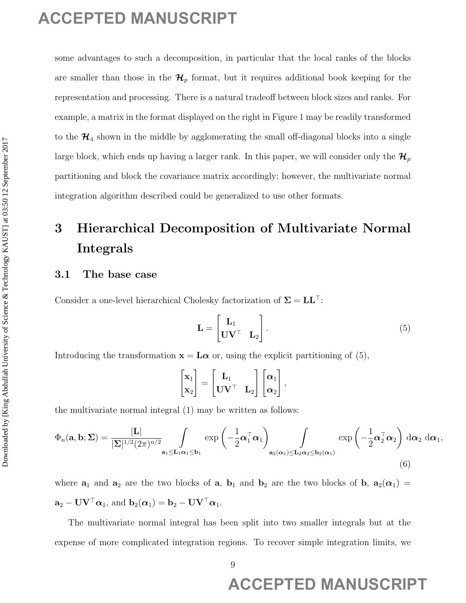some advantages to such a decomposition, in particular that the local ranks of the blocks are smaller than those in the  $\mathcal{H}_p$  format, but it requires additional book keeping for the representation and processing. There is a natural tradeoff between block sizes and ranks. For example, a matrix in the format displayed on the right in Figure 1 may be readily transformed to the  $\mathcal{H}_4$  shown in the middle by agglomerating the small off-diagonal blocks into a single large block, which ends up having a larger rank. In this paper, we will consider only the  $\mathcal{H}_p$ partitioning and block the covariance matrix accordingly; however, the multivariate normal integration algorithm described could be generalized to use other formats. ACCEPTED MANUSCRIPT<br> **ACCEPTED** MANUSCRIPT<br> **ACCEPTED** MANUSCRIPT **DOWNLOW ACCEPT**<br> **ACCEPTED** MANUSCRIPT **ACCEPT**<br> **ACCEPTED** MANUSCRIPT **ACCEPT**<br> **ACCEPTED** MANUSCRIPT **ACCEPT**<br> **ACCEPTED** MANUSCRIPT **ACCEPT**<br> **ACCEPT** 

# 3 Hierarchical Decomposition of Multivariate Normal Integrals

## 3.1 The base case

Consider a one-level hierarchical Cholesky factorization of  $\Sigma = LL^{\top}$ :

$$
\mathbf{L} = \begin{bmatrix} \mathbf{L}_1 \\ \mathbf{U} \mathbf{V}^\top & \mathbf{L}_2 \end{bmatrix} . \tag{5}
$$

Introducing the transformation  $\mathbf{x} = \mathbf{L}\boldsymbol{\alpha}$  or, using the explicit partitioning of (5),

$$
\begin{bmatrix} \mathbf{x}_1 \\ \mathbf{x}_2 \end{bmatrix} = \begin{bmatrix} \mathbf{L}_1 \\ \mathbf{U} \mathbf{V}^\top & \mathbf{L}_2 \end{bmatrix} \begin{bmatrix} \alpha_1 \\ \alpha_2 \end{bmatrix},
$$

the multivariate normal integral (1) may be written as follows:

$$
\Phi_n(\mathbf{a},\mathbf{b};\Sigma) = \frac{|\mathbf{L}|}{|\Sigma|^{1/2} (2\pi)^{n/2}} \int_{\mathbf{a}_1 \leq \mathbf{L}_1 \alpha_1 \leq \mathbf{b}_1} \exp\left(-\frac{1}{2} \alpha_1^\top \alpha_1\right) \int_{\mathbf{a}_2(\alpha_1) \leq \mathbf{L}_2 \alpha_2 \leq \mathbf{b}_2(\alpha_1)} \exp\left(-\frac{1}{2} \alpha_2^\top \alpha_2\right) d\alpha_2 d\alpha_1,
$$
\n(6)

where  $a_1$  and  $a_2$  are the two blocks of a,  $b_1$  and  $b_2$  are the two blocks of b,  $a_2(\alpha_1)$  =  $\mathbf{a}_2 - \mathbf{U}\mathbf{V}^\top \boldsymbol{\alpha}_1$ , and  $\mathbf{b}_2(\boldsymbol{\alpha}_1) = \mathbf{b}_2 - \mathbf{U}\mathbf{V}^\top \boldsymbol{\alpha}_1$ .

The multivariate normal integral has been split into two smaller integrals but at the expense of more complicated integration regions. To recover simple integration limits, we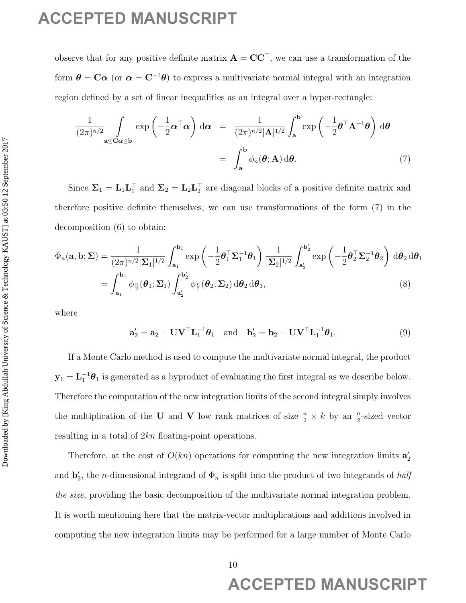observe that for any positive definite matrix  $\mathbf{A} = \mathbf{C} \mathbf{C}^{\top}$ , we can use a transformation of the form  $\theta = \mathbf{C}\alpha$  (or  $\alpha = \mathbf{C}^{-1}\theta$ ) to express a multivariate normal integral with an integration region defined by a set of linear inequalities as an integral over a hyper-rectangle:

$$
\frac{1}{(2\pi)^{n/2}} \int_{\mathbf{a} \le \mathbf{C}\alpha \le \mathbf{b}} \exp\left(-\frac{1}{2}\boldsymbol{\alpha}^\top \boldsymbol{\alpha}\right) d\boldsymbol{\alpha} = \frac{1}{(2\pi)^{n/2} |\mathbf{A}|^{1/2}} \int_{\mathbf{a}}^{\mathbf{b}} \exp\left(-\frac{1}{2}\boldsymbol{\theta}^\top \mathbf{A}^{-1}\boldsymbol{\theta}\right) d\boldsymbol{\theta}
$$
\n
$$
= \int_{\mathbf{a}}^{\mathbf{b}} \phi_n(\boldsymbol{\theta}; \mathbf{A}) d\boldsymbol{\theta}.
$$
\n(7)

Since  $\Sigma_1 = L_1 L_1^{\top}$  and  $\Sigma_2 = L_2 L_2^{\top}$  are diagonal blocks of a positive definite matrix and therefore positive definite themselves, we can use transformations of the form (7) in the decomposition (6) to obtain:

$$
\Phi_n(\mathbf{a}, \mathbf{b}; \Sigma) = \frac{1}{(2\pi)^{n/2} |\Sigma_1|^{1/2}} \int_{\mathbf{a}_1}^{\mathbf{b}_1} \exp\left(-\frac{1}{2} \boldsymbol{\theta}_1^\top \Sigma_1^{-1} \boldsymbol{\theta}_1\right) \frac{1}{|\Sigma_2|^{1/2}} \int_{\mathbf{a}_2'}^{\mathbf{b}_2'} \exp\left(-\frac{1}{2} \boldsymbol{\theta}_2^\top \Sigma_2^{-1} \boldsymbol{\theta}_2\right) d\boldsymbol{\theta}_2 d\boldsymbol{\theta}_1
$$
\n
$$
= \int_{\mathbf{a}_1}^{\mathbf{b}_1} \phi_{\frac{n}{2}}(\boldsymbol{\theta}_1; \Sigma_1) \int_{\mathbf{a}_2'}^{\mathbf{b}_2'} \phi_{\frac{n}{2}}(\boldsymbol{\theta}_2; \Sigma_2) d\boldsymbol{\theta}_2 d\boldsymbol{\theta}_1,\tag{8}
$$

where

$$
\mathbf{a}'_2 = \mathbf{a}_2 - \mathbf{U}\mathbf{V}^\top \mathbf{L}_1^{-1} \boldsymbol{\theta}_1 \quad \text{and} \quad \mathbf{b}'_2 = \mathbf{b}_2 - \mathbf{U}\mathbf{V}^\top \mathbf{L}_1^{-1} \boldsymbol{\theta}_1. \tag{9}
$$

If a Monte Carlo method is used to compute the multivariate normal integral, the product  $y_1 = L_1^{-1} \theta_1$  is generated as a byproduct of evaluating the first integral as we describe below. Therefore the computation of the new integration limits of the second integral simply involves the multiplication of the U and V low rank matrices of size  $\frac{n}{2} \times k$  by an  $\frac{n}{2}$ -sized vector resulting in a total of 2kn floating-point operations. **ACCEPTED MANUSCRIPT**<br>
discrete that for any positive behind unitarity  $A = CC^T$ , we can use a tendential on of the<br>
form  $\theta = Cn$  for  $n = C^{T}(\theta)$  to require a multicleristic errors integral with an integrate<br>
region defined

Therefore, at the cost of  $O(kn)$  operations for computing the new integration limits  $a'_2$ and  $\mathbf{b}'_2$ , the *n*-dimensional integrand of  $\Phi_n$  is split into the product of two integrands of *half* the size, providing the basic decomposition of the multivariate normal integration problem. It is worth mentioning here that the matrix-vector multiplications and additions involved in computing the new integration limits may be performed for a large number of Monte Carlo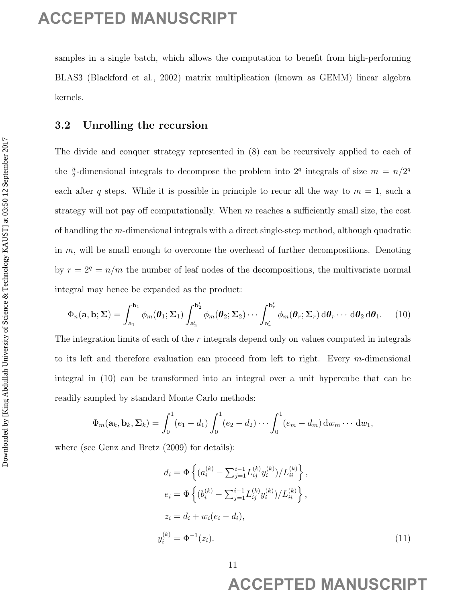samples in a single batch, which allows the computation to benefit from high-performing BLAS3 (Blackford et al., 2002) matrix multiplication (known as GEMM) linear algebra kernels.

## 3.2 Unrolling the recursion

The divide and conquer strategy represented in (8) can be recursively applied to each of the  $\frac{n}{2}$ -dimensional integrals to decompose the problem into  $2^q$  integrals of size  $m = n/2^q$ each after q steps. While it is possible in principle to recur all the way to  $m = 1$ , such a strategy will not pay off computationally. When  $m$  reaches a sufficiently small size, the cost of handling the m-dimensional integrals with a direct single-step method, although quadratic in  $m$ , will be small enough to overcome the overhead of further decompositions. Denoting by  $r = 2^q = n/m$  the number of leaf nodes of the decompositions, the multivariate normal integral may hence be expanded as the product: **ACCEPTED MANUSCRIPT**<br>
samples in a single lattit, which allows the computation to benefit from high-preference BLASS (therefore et al., 2023) matrix restrictivity of the second for all  $\mu$  of SCMU) from Agrees keeps.<br>
S

$$
\Phi_n(\mathbf{a}, \mathbf{b}; \Sigma) = \int_{\mathbf{a}_1}^{\mathbf{b}_1} \phi_m(\theta_1; \Sigma_1) \int_{\mathbf{a}'_2}^{\mathbf{b}'_2} \phi_m(\theta_2; \Sigma_2) \cdots \int_{\mathbf{a}'_r}^{\mathbf{b}'_r} \phi_m(\theta_r; \Sigma_r) d\theta_r \cdots d\theta_2 d\theta_1.
$$
 (10)

The integration limits of each of the  $r$  integrals depend only on values computed in integrals to its left and therefore evaluation can proceed from left to right. Every m-dimensional integral in (10) can be transformed into an integral over a unit hypercube that can be readily sampled by standard Monte Carlo methods:

$$
\Phi_m(\mathbf{a}_k,\mathbf{b}_k,\boldsymbol{\Sigma}_k)=\int_0^1(e_1-d_1)\int_0^1(e_2-d_2)\cdots\int_0^1(e_m-d_m)\,dw_m\cdots\,dw_1,
$$

where (see Genz and Bretz (2009) for details):

$$
d_i = \Phi \left\{ (a_i^{(k)} - \sum_{j=1}^{i-1} L_{ij}^{(k)} y_i^{(k)}) / L_{ii}^{(k)} \right\},
$$
  
\n
$$
e_i = \Phi \left\{ (b_i^{(k)} - \sum_{j=1}^{i-1} L_{ij}^{(k)} y_i^{(k)}) / L_{ii}^{(k)} \right\},
$$
  
\n
$$
z_i = d_i + w_i (e_i - d_i),
$$
  
\n
$$
y_i^{(k)} = \Phi^{-1}(z_i).
$$
\n(11)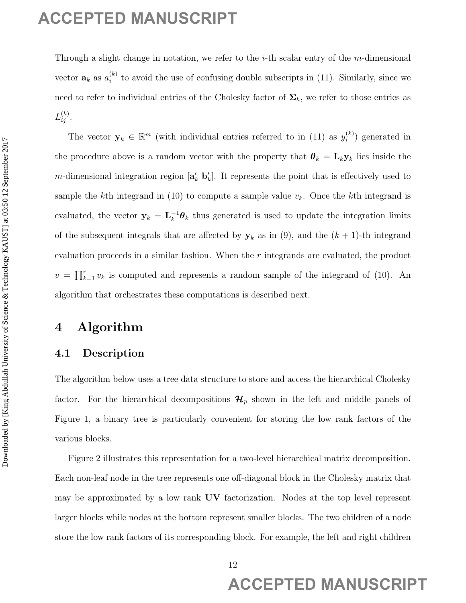Through a slight change in notation, we refer to the  $i$ -th scalar entry of the m-dimensional vector  $\mathbf{a}_k$  as  $a_i^{(k)}$  $\binom{k}{i}$  to avoid the use of confusing double subscripts in (11). Similarly, since we need to refer to individual entries of the Cholesky factor of  $\Sigma_k$ , we refer to those entries as  $L_{ij}^{(k)}$  .

The vector  $y_k \in \mathbb{R}^m$  (with individual entries referred to in (11) as  $y_i^{(k)}$  $i^{(k)}$ ) generated in the procedure above is a random vector with the property that  $\theta_k = \mathbf{L}_k \mathbf{y}_k$  lies inside the m-dimensional integration region  $[\mathbf{a}'_k \; \mathbf{b}'_k]$ . It represents the point that is effectively used to sample the kth integrand in (10) to compute a sample value  $v_k$ . Once the kth integrand is evaluated, the vector  $y_k = L_k^{-1} \theta_k$  thus generated is used to update the integration limits of the subsequent integrals that are affected by  $y_k$  as in (9), and the  $(k + 1)$ -th integrand evaluation proceeds in a similar fashion. When the r integrands are evaluated, the product  $v = \prod_{k=1}^r v_k$  is computed and represents a random sample of the integrand of (10). An algorithm that orchestrates these computations is described next. **ACCEPTED MANUSCRIPT**<br>
Through a signification and intervention and is the value and y of the values and were no set of the most the new of methods where the intervention of the Science  $y_k \in P^{\alpha}$  (then including contine

# 4 Algorithm

## 4.1 Description

The algorithm below uses a tree data structure to store and access the hierarchical Cholesky factor. For the hierarchical decompositions  $\mathcal{H}_p$  shown in the left and middle panels of Figure 1, a binary tree is particularly convenient for storing the low rank factors of the various blocks.

Figure 2 illustrates this representation for a two-level hierarchical matrix decomposition. Each non-leaf node in the tree represents one off-diagonal block in the Cholesky matrix that may be approximated by a low rank UV factorization. Nodes at the top level represent larger blocks while nodes at the bottom represent smaller blocks. The two children of a node store the low rank factors of its corresponding block. For example, the left and right children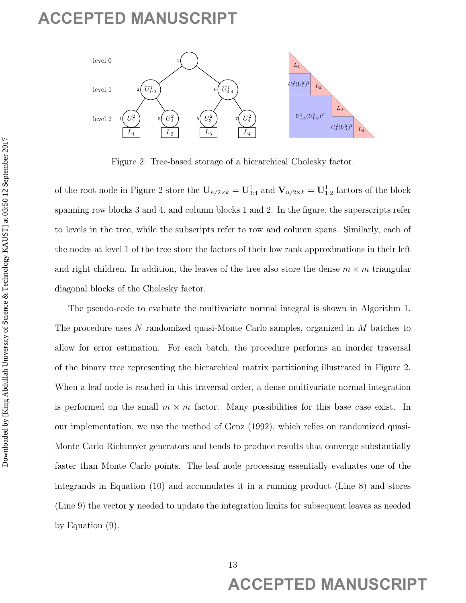

Figure 2: Tree-based storage of a hierarchical Cholesky factor.

of the root node in Figure 2 store the  $U_{n/2\times k} = U_{3:4}^1$  and  $V_{n/2\times k} = U_{1:2}^1$  factors of the block spanning row blocks 3 and 4, and column blocks 1 and 2. In the figure, the superscripts refer to levels in the tree, while the subscripts refer to row and column spans. Similarly, each of the nodes at level 1 of the tree store the factors of their low rank approximations in their left and right children. In addition, the leaves of the tree also store the dense  $m \times m$  triangular diagonal blocks of the Cholesky factor.

The pseudo-code to evaluate the multivariate normal integral is shown in Algorithm 1. The procedure uses N randomized quasi-Monte Carlo samples, organized in M batches to allow for error estimation. For each batch, the procedure performs an inorder traversal of the binary tree representing the hierarchical matrix partitioning illustrated in Figure 2. When a leaf node is reached in this traversal order, a dense multivariate normal integration is performed on the small  $m \times m$  factor. Many possibilities for this base case exist. In our implementation, we use the method of Genz (1992), which relies on randomized quasi-Monte Carlo Richtmyer generators and tends to produce results that converge substantially faster than Monte Carlo points. The leaf node processing essentially evaluates one of the integrands in Equation (10) and accumulates it in a running product (Line 8) and stores (Line 9) the vector y needed to update the integration limits for subsequent leaves as needed by Equation (9). ACCEPTED MANUSCRIPT<br>
Note 2. The based strategy of a hereafted Clubely factor.<br>
Figure 2. The based strategy of a hereafted Clubely factor.<br>
The motion of the Columbia Universe Science By  $\frac{N_{\text{max}}}{N}$  and  $V_{\text{max}} = U_1$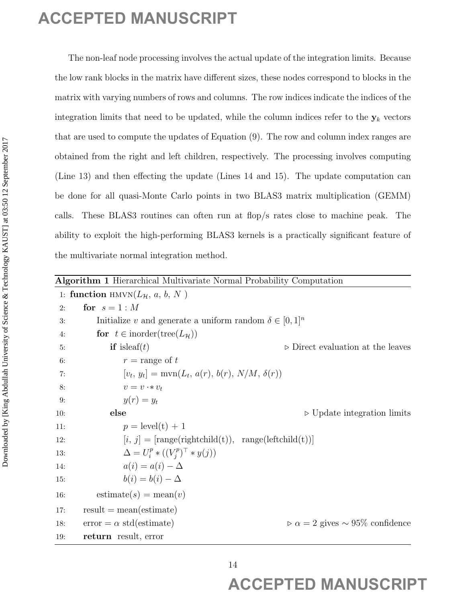| <b>Algorithm 1</b> Hierarchical Multivariate Normal Probability Computation |  |
|-----------------------------------------------------------------------------|--|
|-----------------------------------------------------------------------------|--|

|           |                                                                                     | The non-leaf node processing involves the actual update of the integration limits. Because      |
|-----------|-------------------------------------------------------------------------------------|-------------------------------------------------------------------------------------------------|
|           |                                                                                     | the low rank blocks in the matrix have different sizes, these nodes correspond to blocks in the |
|           |                                                                                     | matrix with varying numbers of rows and columns. The row indices indicate the indices of the    |
|           |                                                                                     | integration limits that need to be updated, while the column indices refer to the $y_k$ vectors |
|           |                                                                                     | that are used to compute the updates of Equation (9). The row and column index ranges are       |
|           |                                                                                     |                                                                                                 |
|           |                                                                                     | obtained from the right and left children, respectively. The processing involves computing      |
|           |                                                                                     | (Line 13) and then effecting the update (Lines 14 and 15). The update computation can           |
|           |                                                                                     | be done for all quasi-Monte Carlo points in two BLAS3 matrix multiplication (GEMM)              |
|           |                                                                                     | calls. These BLAS3 routines can often run at flop/s rates close to machine peak. The            |
|           |                                                                                     | ability to exploit the high-performing BLAS3 kernels is a practically significant feature of    |
|           |                                                                                     |                                                                                                 |
|           | the multivariate normal integration method.                                         |                                                                                                 |
|           | Algorithm 1 Hierarchical Multivariate Normal Probability Computation                |                                                                                                 |
|           | 1: function HMVN( $L_{\mathcal{H}}$ , a, b, N)                                      |                                                                                                 |
| 2:        | for $s=1:M$                                                                         |                                                                                                 |
| 3:        | Initialize v and generate a uniform random $\delta \in [0,1]^n$                     |                                                                                                 |
| 4:        | for $t \in$ inorder(tree( $L_{\mathcal{H}}$ ))                                      |                                                                                                 |
| 5:        | <b>if</b> is leaf( $t$ )                                                            | $\triangleright$ Direct evaluation at the leaves                                                |
| 6:        | $r = \text{range of } t$                                                            |                                                                                                 |
| 7:        | $[v_t, y_t] = \text{mvn}(L_t, a(r), b(r), N/M, \delta(r))$                          |                                                                                                 |
| 8:        | $v = v \cdot * v_t$<br>$y(r) = y_t$                                                 |                                                                                                 |
| 9:<br>10: | else                                                                                | $\triangleright$ Update integration limits                                                      |
| 11:       | $p = level(t) + 1$                                                                  |                                                                                                 |
| 12:       | $[i, j] = [\text{range}(\text{rightchild}(t)), \text{ range}(\text{leftchild}(t))]$ |                                                                                                 |
| 13:       | $\Delta = U_i^p * ((V_i^p)^\top * y(j))$                                            |                                                                                                 |
| 14:       | $a(i) = a(i) - \Delta$                                                              |                                                                                                 |
| 15:       | $b(i) = b(i) - \Delta$                                                              |                                                                                                 |
|           | $\text{estimate}(s) = \text{mean}(v)$                                               |                                                                                                 |
| 16:       |                                                                                     |                                                                                                 |
| 17:       |                                                                                     |                                                                                                 |
| 18:       | $result = mean(estimate)$<br>$error = \alpha std(estimate)$                         | $\rho \alpha = 2$ gives $\sim 95\%$ confidence                                                  |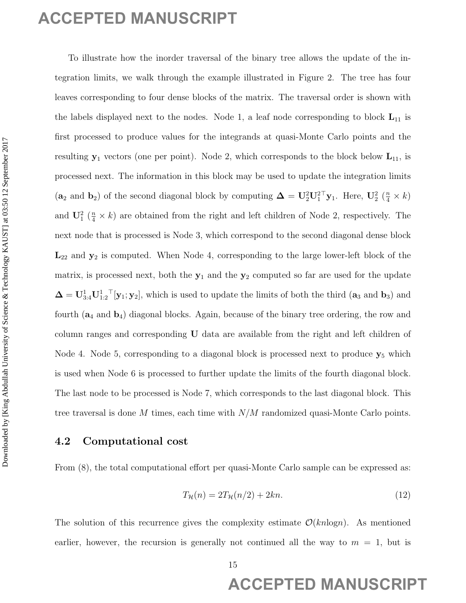To illustrate how the inorder traversal of the binary tree allows the update of the integration limits, we walk through the example illustrated in Figure 2. The tree has four leaves corresponding to four dense blocks of the matrix. The traversal order is shown with the labels displayed next to the nodes. Node 1, a leaf node corresponding to block  $L_{11}$  is first processed to produce values for the integrands at quasi-Monte Carlo points and the resulting  $y_1$  vectors (one per point). Node 2, which corresponds to the block below  $L_{11}$ , is processed next. The information in this block may be used to update the integration limits (a<sub>2</sub> and b<sub>2</sub>) of the second diagonal block by computing  $\Delta = U_2^2 U_1^{2\top} y_1$ . Here,  $U_2^2 \left(\frac{n}{4} \times k\right)$ and  $\mathbf{U}_1^2$  ( $\frac{n}{4} \times k$ ) are obtained from the right and left children of Node 2, respectively. The next node that is processed is Node 3, which correspond to the second diagonal dense block  $L_{22}$  and  $y_2$  is computed. When Node 4, corresponding to the large lower-left block of the matrix, is processed next, both the  $y_1$  and the  $y_2$  computed so far are used for the update  $\mathbf{\Delta} = \mathbf{U}_{3:4}^1 \mathbf{U}_{1:2}^1 \mathbf{V}_1; \mathbf{y}_2$ , which is used to update the limits of both the third  $(\mathbf{a}_3 \text{ and } \mathbf{b}_3)$  and fourth  $(a_4 \text{ and } b_4)$  diagonal blocks. Again, because of the binary tree ordering, the row and column ranges and corresponding U data are available from the right and left children of Node 4. Node 5, corresponding to a diagonal block is processed next to produce  $y_5$  which is used when Node 6 is processed to further update the limits of the fourth diagonal block. The last node to be processed is Node 7, which corresponds to the last diagonal block. This tree traversal is done M times, each time with  $N/M$  randomized quasi-Monte Carlo points. **ACCEPTED MANUSCRIPT**<br>
To distate lose the model tracend of the finality of science abdulla time<br>
trace corresponding to four dense blocks of the metric. The tracents of<br>solve a state absorption for the solve science bloc

## 4.2 Computational cost

From (8), the total computational effort per quasi-Monte Carlo sample can be expressed as:

$$
T_{\mathcal{H}}(n) = 2T_{\mathcal{H}}(n/2) + 2kn.
$$
\n
$$
(12)
$$

The solution of this recurrence gives the complexity estimate  $\mathcal{O}(kn \log n)$ . As mentioned earlier, however, the recursion is generally not continued all the way to  $m = 1$ , but is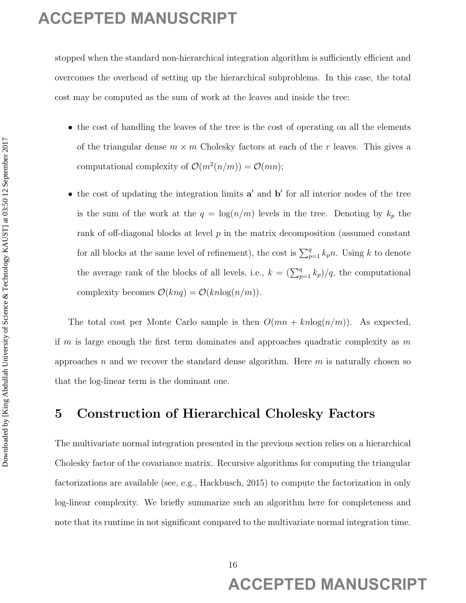stopped when the standard non-hierarchical integration algorithm is sufficiently efficient and overcomes the overhead of setting up the hierarchical subproblems. In this case, the total cost may be computed as the sum of work at the leaves and inside the tree:

- the cost of handling the leaves of the tree is the cost of operating on all the elements of the triangular dense  $m \times m$  Cholesky factors at each of the r leaves. This gives a computational complexity of  $\mathcal{O}(m^2(n/m)) = \mathcal{O}(mn)$ ;
- $\bullet$  the cost of updating the integration limits  $a'$  and  $b'$  for all interior nodes of the tree is the sum of the work at the  $q = \log(n/m)$  levels in the tree. Denoting by  $k_p$  the rank of off-diagonal blocks at level p in the matrix decomposition (assumed constant for all blocks at the same level of refinement), the cost is  $\sum_{p=1}^{q} k_p n$ . Using k to denote the average rank of the blocks of all levels, i.e.,  $k = \left(\sum_{p=1}^{q} k_p\right)/q$ , the computational complexity becomes  $\mathcal{O}(k n q) = \mathcal{O}(k n \log(n/m)).$ **ACCEPTED MANUSCRIPT**<br> **Algoed sheet the standard loss bisecultied interpretational by first energy for the distance**  $\alpha$  **is the control of the standard by the Monteville absorptions. In this case, the boat of montions to**

The total cost per Monte Carlo sample is then  $O(mn + knlog(n/m))$ . As expected, if m is large enough the first term dominates and approaches quadratic complexity as  $m$ approaches  $n$  and we recover the standard dense algorithm. Here  $m$  is naturally chosen so that the log-linear term is the dominant one.

## 5 Construction of Hierarchical Cholesky Factors

The multivariate normal integration presented in the previous section relies on a hierarchical Cholesky factor of the covariance matrix. Recursive algorithms for computing the triangular factorizations are available (see, e.g., Hackbusch, 2015) to compute the factorization in only log-linear complexity. We briefly summarize such an algorithm here for completeness and note that its runtime in not significant compared to the multivariate normal integration time.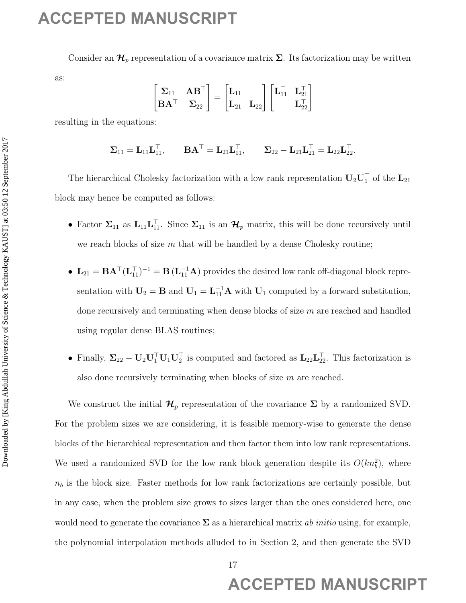Consider an  $\mathcal{H}_p$  representation of a covariance matrix  $\Sigma$ . Its factorization may be written as:

$$
\begin{bmatrix} \Sigma_{11} & AB^{\top} \\ BA^{\top} & \Sigma_{22} \end{bmatrix} = \begin{bmatrix} L_{11} \\ L_{21} & L_{22} \end{bmatrix} \begin{bmatrix} L_{11}^{\top} & L_{21}^{\top} \\ & L_{22}^{\top} \end{bmatrix}
$$

resulting in the equations:

$$
\boldsymbol{\Sigma}_{11}=\mathbf{L}_{11}\mathbf{L}_{11}^\top,\qquad \mathbf{B}\mathbf{A}^\top=\mathbf{L}_{21}\mathbf{L}_{11}^\top,\qquad \boldsymbol{\Sigma}_{22}-\mathbf{L}_{21}\mathbf{L}_{21}^\top=\mathbf{L}_{22}\mathbf{L}_{22}^\top.
$$

The hierarchical Cholesky factorization with a low rank representation  $\mathbf{U}_2 \mathbf{U}_1^{\top}$  of the  $\mathbf{L}_{21}$ block may hence be computed as follows:

- Factor  $\Sigma_{11}$  as  $\mathbf{L}_{11}\mathbf{L}_{11}^{\top}$ . Since  $\Sigma_{11}$  is an  $\mathcal{H}_p$  matrix, this will be done recursively until we reach blocks of size  $m$  that will be handled by a dense Cholesky routine;
- $\mathbf{L}_{21} = \mathbf{B} \mathbf{A}^{\top} (\mathbf{L}_{11}^{\top})^{-1} = \mathbf{B} (\mathbf{L}_{11}^{-1} \mathbf{A})$  provides the desired low rank off-diagonal block representation with  $U_2 = B$  and  $U_1 = L_{11}^{-1}A$  with  $U_1$  computed by a forward substitution, done recursively and terminating when dense blocks of size  $m$  are reached and handled using regular dense BLAS routines;
- Finally,  $\Sigma_{22} U_2 U_1^{\top} U_1 U_2^{\top}$  is computed and factored as  $L_{22} L_{22}^{\top}$ . This factorization is also done recursively terminating when blocks of size  $m$  are reached.

We construct the initial  $\mathcal{H}_p$  representation of the covariance  $\Sigma$  by a randomized SVD. For the problem sizes we are considering, it is feasible memory-wise to generate the dense blocks of the hierarchical representation and then factor them into low rank representations. We used a randomized SVD for the low rank block generation despite its  $O(kn_b^2)$ , where  $n_b$  is the block size. Faster methods for low rank factorizations are certainly possible, but in any case, when the problem size grows to sizes larger than the ones considered here, one would need to generate the covariance  $\Sigma$  as a hierarchical matrix ab initio using, for example, the polynomial interpolation methods alluded to in Section 2, and then generate the SVD **ACCEPTED MANUSCRIPT**<br>
Consider at  $\mathcal{H}_p$  expressions of a modelity  $\mathbf{L}_p = \begin{bmatrix} \mathbf{L}_{11} & \mathbf{L}_{21} \\ \mathbf{L}_{21} & \mathbf{L}_{22} \end{bmatrix} = \begin{bmatrix} \mathbf{L}_{11} & \mathbf{L}_{22} \\ \mathbf{L}_{21} & \mathbf{L}_{22} \end{bmatrix}$ <br> **Evaluation 2017** and  $\mathbf{L}_{21} = \begin$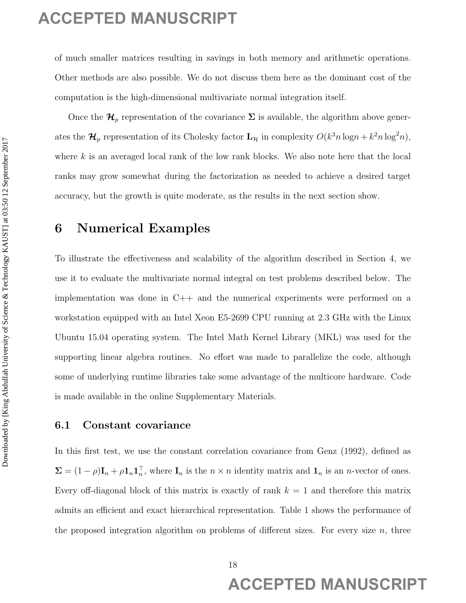of much smaller matrices resulting in savings in both memory and arithmetic operations. Other methods are also possible. We do not discuss them here as the dominant cost of the computation is the high-dimensional multivariate normal integration itself.

Once the  $\mathcal{H}_p$  representation of the covariance  $\Sigma$  is available, the algorithm above generates the  $\mathcal{H}_p$  representation of its Cholesky factor  $\mathbf{L}_{\mathcal{H}}$  in complexity  $O(k^3 n \log n + k^2 n \log^2 n)$ , where  $k$  is an averaged local rank of the low rank blocks. We also note here that the local ranks may grow somewhat during the factorization as needed to achieve a desired target accuracy, but the growth is quite moderate, as the results in the next section show.

## 6 Numerical Examples

To illustrate the effectiveness and scalability of the algorithm described in Section 4, we use it to evaluate the multivariate normal integral on test problems described below. The implementation was done in C++ and the numerical experiments were performed on a workstation equipped with an Intel Xeon E5-2699 CPU running at 2.3 GHz with the Linux Ubuntu 15.04 operating system. The Intel Math Kernel Library (MKL) was used for the supporting linear algebra routines. No effort was made to parallelize the code, although some of underlying runtime libraries take some advantage of the multicore hardware. Code is made available in the online Supplementary Materials. ACCEPTED MANUSCRIPT<br>
of until smaller matrix smalling in lead theorem, and arithmetic operations.<br>
Other rections are the physicial Mathematical matricular corresponding to the corresponding size of the corresponding to t

## 6.1 Constant covariance

In this first test, we use the constant correlation covariance from Genz (1992), defined as  $\Sigma = (1 - \rho) \mathbf{I}_n + \rho \mathbf{1}_n \mathbf{1}_n^{\top}$ , where  $\mathbf{I}_n$  is the  $n \times n$  identity matrix and  $\mathbf{1}_n$  is an *n*-vector of ones. Every off-diagonal block of this matrix is exactly of rank  $k = 1$  and therefore this matrix admits an efficient and exact hierarchical representation. Table 1 shows the performance of the proposed integration algorithm on problems of different sizes. For every size  $n$ , three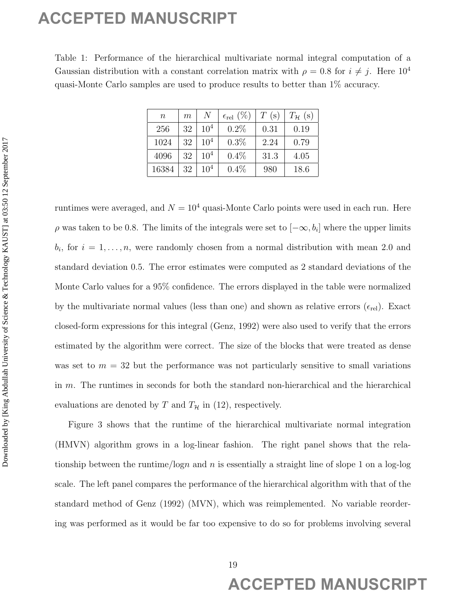Table 1: Performance of the hierarchical multivariate normal integral computation of a Gaussian distribution with a constant correlation matrix with  $\rho = 0.8$  for  $i \neq j$ . Here  $10^4$ quasi-Monte Carlo samples are used to produce results to better than 1% accuracy.

| $\, n$ | $\boldsymbol{m}$ | N               | $\epsilon_{\text{rel}}(\%)$ | $T(\mathrm{s})$ | $T_{\mathcal{H}}$ (s) |
|--------|------------------|-----------------|-----------------------------|-----------------|-----------------------|
| 256    | 32               | $10^{4}$        | 0.2%                        | 0.31            | 0.19                  |
| 1024   | 32               | 10 <sup>4</sup> | 0.3%                        | 2.24            | 0.79                  |
| 4096   | 32               | 10 <sup>4</sup> | $0.4\%$                     | 31.3            | 4.05                  |
| 16384  | 32               | $10^{4}$        | 0.4%                        | 980             | 18.6                  |

runtimes were averaged, and  $N = 10<sup>4</sup>$  quasi-Monte Carlo points were used in each run. Here  $\rho$  was taken to be 0.8. The limits of the integrals were set to  $[-\infty, b_i]$  where the upper limits  $b_i$ , for  $i = 1, \ldots, n$ , were randomly chosen from a normal distribution with mean 2.0 and standard deviation 0.5. The error estimates were computed as 2 standard deviations of the Monte Carlo values for a 95% confidence. The errors displayed in the table were normalized by the multivariate normal values (less than one) and shown as relative errors  $(\epsilon_{rel})$ . Exact closed-form expressions for this integral (Genz, 1992) were also used to verify that the errors estimated by the algorithm were correct. The size of the blocks that were treated as dense was set to  $m = 32$  but the performance was not particularly sensitive to small variations in m. The runtimes in seconds for both the standard non-hierarchical and the hierarchical evaluations are denoted by T and  $T_{\mathcal{H}}$  in (12), respectively. **ACCEPTED MANUSCRIPT**<br>
Table 1: Preferencer of the Heronthov variation normal biograc computation of a Gaussian distinction with a constant with one of the *F*  $\frac{1}{2}$  Hero D<sup>4</sup> can be a state of the computer we meet to

Figure 3 shows that the runtime of the hierarchical multivariate normal integration (HMVN) algorithm grows in a log-linear fashion. The right panel shows that the relationship between the runtime/logn and n is essentially a straight line of slope 1 on a log-log scale. The left panel compares the performance of the hierarchical algorithm with that of the standard method of Genz (1992) (MVN), which was reimplemented. No variable reordering was performed as it would be far too expensive to do so for problems involving several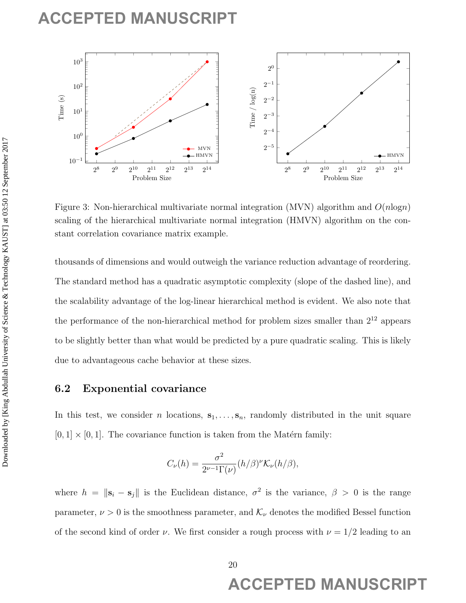

Figure 3: Non-hierarchical multivariate normal integration (MVN) algorithm and  $O(n \log n)$ scaling of the hierarchical multivariate normal integration (HMVN) algorithm on the constant correlation covariance matrix example.

thousands of dimensions and would outweigh the variance reduction advantage of reordering. The standard method has a quadratic asymptotic complexity (slope of the dashed line), and the scalability advantage of the log-linear hierarchical method is evident. We also note that the performance of the non-hierarchical method for problem sizes smaller than  $2^{12}$  appears to be slightly better than what would be predicted by a pure quadratic scaling. This is likely due to advantageous cache behavior at these sizes.

## 6.2 Exponential covariance

In this test, we consider n locations,  $s_1, \ldots, s_n$ , randomly distributed in the unit square  $[0, 1] \times [0, 1]$ . The covariance function is taken from the Matérn family:

$$
C_{\nu}(h) = \frac{\sigma^2}{2^{\nu-1}\Gamma(\nu)} (h/\beta)^{\nu} \mathcal{K}_{\nu}(h/\beta),
$$

where  $h = ||\mathbf{s}_i - \mathbf{s}_j||$  is the Euclidean distance,  $\sigma^2$  is the variance,  $\beta > 0$  is the range parameter,  $\nu > 0$  is the smoothness parameter, and  $\mathcal{K}_{\nu}$  denotes the modified Bessel function of the second kind of order  $\nu$ . We first consider a rough process with  $\nu = 1/2$  leading to an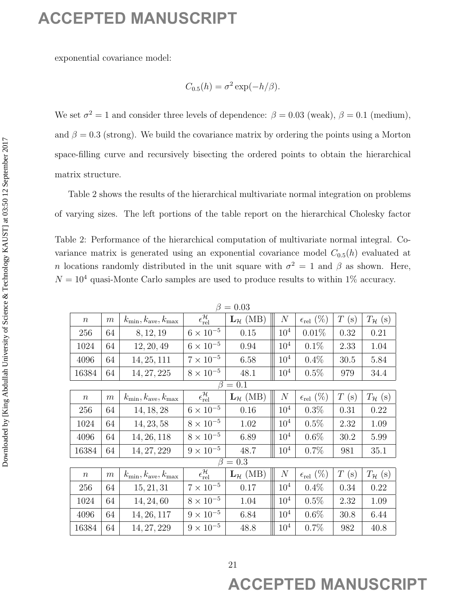$$
C_{0.5}(h) = \sigma^2 \exp(-h/\beta).
$$

Table 2: Performance of the hierarchical computation of multivariate normal integral. Covariance matrix is generated using an exponential covariance model  $C_{0.5}(h)$  evaluated at n locations randomly distributed in the unit square with  $\sigma^2 = 1$  and  $\beta$  as shown. Here,  $N=10^4$  quasi-Monte Carlo samples are used to produce results to within  $1\%$  accuracy.

|                   |                  | exponential covariance model:                                                                                                                                                                        |                                                           |                                         |                  |                             |                         |                                                                                         |
|-------------------|------------------|------------------------------------------------------------------------------------------------------------------------------------------------------------------------------------------------------|-----------------------------------------------------------|-----------------------------------------|------------------|-----------------------------|-------------------------|-----------------------------------------------------------------------------------------|
|                   |                  |                                                                                                                                                                                                      |                                                           | $C_{0.5}(h) = \sigma^2 \exp(-h/\beta).$ |                  |                             |                         |                                                                                         |
|                   |                  | We set $\sigma^2 = 1$ and consider three levels of dependence: $\beta = 0.03$ (weak), $\beta = 0.1$ (medium),                                                                                        |                                                           |                                         |                  |                             |                         |                                                                                         |
|                   |                  | and $\beta = 0.3$ (strong). We build the covariance matrix by ordering the points using a Morton                                                                                                     |                                                           |                                         |                  |                             |                         |                                                                                         |
|                   |                  | space-filling curve and recursively bisecting the ordered points to obtain the hierarchical                                                                                                          |                                                           |                                         |                  |                             |                         |                                                                                         |
|                   |                  |                                                                                                                                                                                                      |                                                           |                                         |                  |                             |                         |                                                                                         |
| matrix structure. |                  |                                                                                                                                                                                                      |                                                           |                                         |                  |                             |                         |                                                                                         |
|                   |                  | Table 2 shows the results of the hierarchical multivariate normal integration on problems                                                                                                            |                                                           |                                         |                  |                             |                         |                                                                                         |
|                   |                  | of varying sizes. The left portions of the table report on the hierarchical Cholesky factor                                                                                                          |                                                           |                                         |                  |                             |                         |                                                                                         |
|                   |                  |                                                                                                                                                                                                      |                                                           |                                         |                  |                             |                         |                                                                                         |
|                   |                  | Table 2: Performance of the hierarchical computation of multivariate normal integral. Co-                                                                                                            |                                                           |                                         |                  |                             |                         |                                                                                         |
|                   |                  | variance matrix is generated using an exponential covariance model $C_{0.5}(h)$ evaluated at                                                                                                         |                                                           |                                         |                  |                             |                         |                                                                                         |
|                   |                  | <i>n</i> locations randomly distributed in the unit square with $\sigma^2 = 1$ and $\beta$ as shown. Here,<br>$N = 104$ quasi-Monte Carlo samples are used to produce results to within 1% accuracy. |                                                           |                                         |                  |                             |                         |                                                                                         |
|                   |                  |                                                                                                                                                                                                      |                                                           |                                         |                  |                             |                         |                                                                                         |
|                   |                  |                                                                                                                                                                                                      |                                                           | $\beta=0.03$                            |                  |                             |                         |                                                                                         |
| $\, n$            | m                | $k_{\min}, k_{\text{ave}}, k_{\max}$                                                                                                                                                                 | $\epsilon^{\mathcal{H}}_{\text{rel}}$                     | $L_{\mathcal{H}}$ (MB)                  |                  |                             |                         |                                                                                         |
|                   |                  |                                                                                                                                                                                                      |                                                           |                                         | $\overline{N}$   | $\epsilon_{\text{rel}}(\%)$ | $T(\mathrm{s})$         |                                                                                         |
| 256               | 64               | 8, 12, 19                                                                                                                                                                                            | $6\times10^{-5}$                                          | 0.15                                    | 10 <sup>4</sup>  | 0.01%                       | 0.32                    | 0.21                                                                                    |
| 1024              | 64               | 12, 20, 49                                                                                                                                                                                           | $6\times10^{-5}$                                          | 0.94                                    | $10^{4}$         | 0.1%                        | 2.33                    | 1.04                                                                                    |
| 4096              | 64               | 14, 25, 111                                                                                                                                                                                          | $7\times10^{-5}$                                          | 6.58                                    | $10^{4}$         | 0.4%                        | 30.5                    |                                                                                         |
| 16384             | 64               | 14, 27, 225                                                                                                                                                                                          | $8\times10^{-5}$                                          | 48.1                                    | 10 <sup>4</sup>  | 0.5%                        | 979                     |                                                                                         |
|                   |                  |                                                                                                                                                                                                      |                                                           | $\beta=0.1$                             |                  |                             |                         |                                                                                         |
| $\, n$            | $\boldsymbol{m}$ | $k_{\min}, k_{\text{ave}}, k_{\max}$                                                                                                                                                                 | $\epsilon^{\mathcal{H}}_{\text{rel}}$                     | $L_{\mathcal{H}}$ (MB)                  | $\boldsymbol{N}$ | $\epsilon_{\text{rel}}(\%)$ | $T(\mathrm{s})$         |                                                                                         |
| 256               | 64               | 14, 18, 28                                                                                                                                                                                           | $6 \times 10^{-5}$                                        | 0.16                                    | 10 <sup>4</sup>  | $0.3\%$                     | 0.31                    | 0.22                                                                                    |
| 1024              | 64               | 14, 23, 58                                                                                                                                                                                           | $8 \times 10^{-5}$                                        | 1.02                                    | 10 <sup>4</sup>  | 0.5%                        | 2.32                    | 1.09                                                                                    |
| 4096              | 64               | 14, 26, 118                                                                                                                                                                                          | $8 \times 10^{-5}$                                        | 6.89                                    | 10 <sup>4</sup>  | 0.6%                        | 30.2                    | 5.84<br>34.4<br>5.99                                                                    |
| 16384             | 64               | 14, 27, 229                                                                                                                                                                                          | $9\times10^{-5}$                                          | 48.7<br>$\beta=0.3$                     | 10 <sup>4</sup>  | 0.7%                        | 981                     | 35.1                                                                                    |
| $\, n$            | $\boldsymbol{m}$ | $k_{\min}, k_{\text{ave}}, k_{\max}$                                                                                                                                                                 |                                                           | $L_{\mathcal{H}}$ (MB)                  | $\boldsymbol{N}$ | $\epsilon_{\text{rel}}(\%)$ |                         |                                                                                         |
| 256               | 64               | 15, 21, 31                                                                                                                                                                                           | $\epsilon^{\mathcal{H}}_{\text{rel}}$<br>$7\times10^{-5}$ | 0.17                                    | $10^{4}$         | $0.4\%$                     | $T(\mathrm{s})$<br>0.34 |                                                                                         |
| 1024              | 64               | 14, 24, 60                                                                                                                                                                                           | $8 \times 10^{-5}$                                        | 1.04                                    | 10 <sup>4</sup>  | 0.5%                        | 2.32                    | 1.09                                                                                    |
| 4096              | 64               | 14, 26, 117                                                                                                                                                                                          | $9 \times 10^{-5}$                                        | 6.84                                    | $10^4$           | $0.6\%$                     | 30.8                    | $T_{\mathcal{H}}$ (s)<br>$T_{\mathcal{H}}$ (s)<br>$T_{\mathcal{H}}$ (s)<br>0.22<br>6.44 |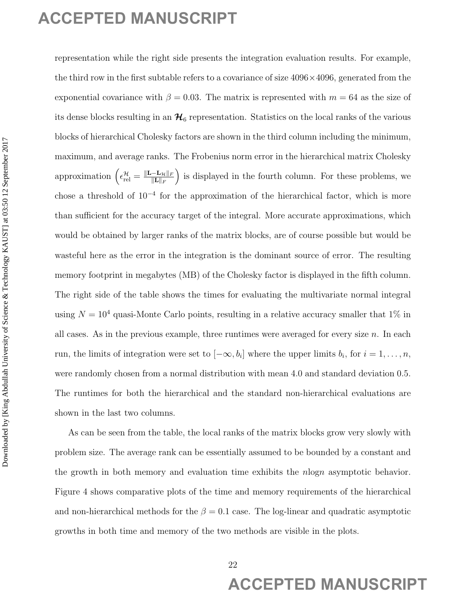representation while the right side presents the integration evaluation results. For example, the third row in the first subtable refers to a covariance of size  $4096\times4096$ , generated from the exponential covariance with  $\beta = 0.03$ . The matrix is represented with  $m = 64$  as the size of its dense blocks resulting in an  $\mathcal{H}_6$  representation. Statistics on the local ranks of the various blocks of hierarchical Cholesky factors are shown in the third column including the minimum, maximum, and average ranks. The Frobenius norm error in the hierarchical matrix Cholesky approximation  $\left(\epsilon_{rel}^{\mathcal{H}}=\frac{\|\mathbf{L}-\mathbf{L}_{\mathcal{H}}\|_F}{\|\mathbf{L}\|_F}\right)$  $\|\mathbf{L}\|_F$ ) is displayed in the fourth column. For these problems, we chose a threshold of 10<sup>−</sup><sup>4</sup> for the approximation of the hierarchical factor, which is more than sufficient for the accuracy target of the integral. More accurate approximations, which would be obtained by larger ranks of the matrix blocks, are of course possible but would be wasteful here as the error in the integration is the dominant source of error. The resulting memory footprint in megabytes (MB) of the Cholesky factor is displayed in the fifth column. The right side of the table shows the times for evaluating the multivariate normal integral using  $N = 10<sup>4</sup>$  quasi-Monte Carlo points, resulting in a relative accuracy smaller that 1% in all cases. As in the previous example, three runtimes were averaged for every size  $n$ . In each run, the limits of integration were set to  $[-\infty, b_i]$  where the upper limits  $b_i$ , for  $i = 1, \ldots, n$ , were randomly chosen from a normal distribution with mean 4.0 and standard deviation 0.5. The runtimes for both the hierarchical and the standard non-hierarchical evaluations are shown in the last two columns. **ACCEPTED MANUSCRIPT**<br>
in processuation stable the probabilistic interaction reduction readers for a sometime of the stabilistic order to the stabilistic order of Science & 1993 × 120%, grammeter from the exponential cove

As can be seen from the table, the local ranks of the matrix blocks grow very slowly with problem size. The average rank can be essentially assumed to be bounded by a constant and the growth in both memory and evaluation time exhibits the nlogn asymptotic behavior. Figure 4 shows comparative plots of the time and memory requirements of the hierarchical and non-hierarchical methods for the  $\beta = 0.1$  case. The log-linear and quadratic asymptotic growths in both time and memory of the two methods are visible in the plots.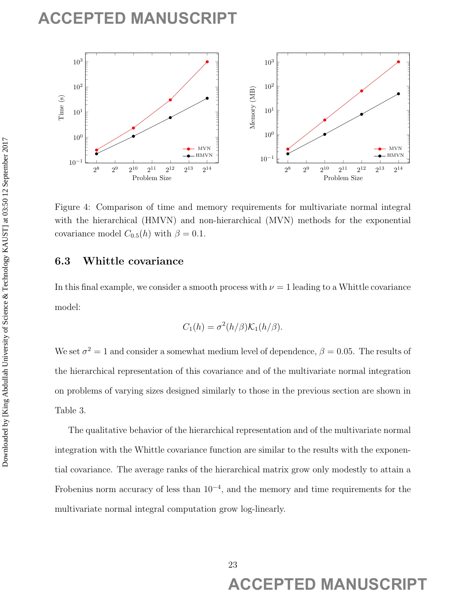

Figure 4: Comparison of time and memory requirements for multivariate normal integral with the hierarchical (HMVN) and non-hierarchical (MVN) methods for the exponential covariance model  $C_{0.5}(h)$  with  $\beta = 0.1$ .

## 6.3 Whittle covariance

In this final example, we consider a smooth process with  $\nu = 1$  leading to a Whittle covariance model:

$$
C_1(h) = \sigma^2(h/\beta)\mathcal{K}_1(h/\beta).
$$

We set  $\sigma^2 = 1$  and consider a somewhat medium level of dependence,  $\beta = 0.05$ . The results of the hierarchical representation of this covariance and of the multivariate normal integration on problems of varying sizes designed similarly to those in the previous section are shown in Table 3.

The qualitative behavior of the hierarchical representation and of the multivariate normal integration with the Whittle covariance function are similar to the results with the exponential covariance. The average ranks of the hierarchical matrix grow only modestly to attain a Frobenius norm accuracy of less than  $10^{-4}$ , and the memory and time requirements for the multivariate normal integral computation grow log-linearly.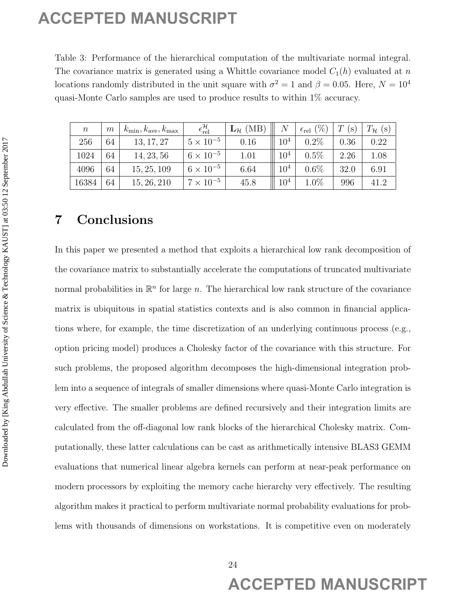Table 3: Performance of the hierarchical computation of the multivariate normal integral. The covariance matrix is generated using a Whittle covariance model  $C_1(h)$  evaluated at n locations randomly distributed in the unit square with  $\sigma^2 = 1$  and  $\beta = 0.05$ . Here,  $N = 10^4$ quasi-Monte Carlo samples are used to produce results to within 1% accuracy.

| $\boldsymbol{n}$ | m  | $k_{\min}, k_{\text{ave}}, k_{\max}$ | $\epsilon^{\mathcal{H}}_{\text{rel}}$ | $\mathbf{L}_{\mathcal{H}}$ (MB) | $\,N$           | $(\% )$<br>$\epsilon_{\text{rel}}$ | T<br>$(\mathbf{s})$ | $T_{\mathcal{H}}$<br>$(\mathrm{s})$ |
|------------------|----|--------------------------------------|---------------------------------------|---------------------------------|-----------------|------------------------------------|---------------------|-------------------------------------|
| 256              | 64 | 13, 17, 27                           | $5 \times 10^{-5}$                    | 0.16                            | $10^4$          | 0.2%                               | 0.36                | 0.22                                |
| 1024             | 64 | 14, 23, 56                           | $6 \times 10^{-5}$                    | 1.01                            | 10 <sup>4</sup> | $0.5\%$                            | 2.26                | 1.08                                |
| 4096             | 64 | 15, 25, 109                          | $6 \times 10^{-5}$                    | 6.64                            | $10^{4}$        | $0.6\%$                            | 32.0                | 6.91                                |
| 16384            | 64 | 15, 26, 210                          | $7 \times 10^{-5}$                    | 45.8                            | 10 <sup>4</sup> | $1.0\%$                            | 996                 | 41.2                                |

## 7 Conclusions

In this paper we presented a method that exploits a hierarchical low rank decomposition of the covariance matrix to substantially accelerate the computations of truncated multivariate normal probabilities in  $\mathbb{R}^n$  for large n. The hierarchical low rank structure of the covariance matrix is ubiquitous in spatial statistics contexts and is also common in financial applications where, for example, the time discretization of an underlying continuous process (e.g., option pricing model) produces a Cholesky factor of the covariance with this structure. For such problems, the proposed algorithm decomposes the high-dimensional integration problem into a sequence of integrals of smaller dimensions where quasi-Monte Carlo integration is very effective. The smaller problems are defined recursively and their integration limits are calculated from the off-diagonal low rank blocks of the hierarchical Cholesky matrix. Computationally, these latter calculations can be cast as arithmetically intensive BLAS3 GEMM evaluations that numerical linear algebra kernels can perform at near-peak performance on modern processors by exploiting the memory cache hierarchy very effectively. The resulting algorithm makes it practical to perform multivariate normal probability evaluations for problems with thousands of dimensions on workstations. It is competitive even on moderately **ACCEPTED MANUSCRIPT**<br>
This is the<br>formula in the trip symmetric internal time with a constant university of<br>the continue continue is a parameter downloaded by  $\frac{1}{2}$  and<br>  $\frac{1}{2}$  can be a stationary channel by  $\frac{1$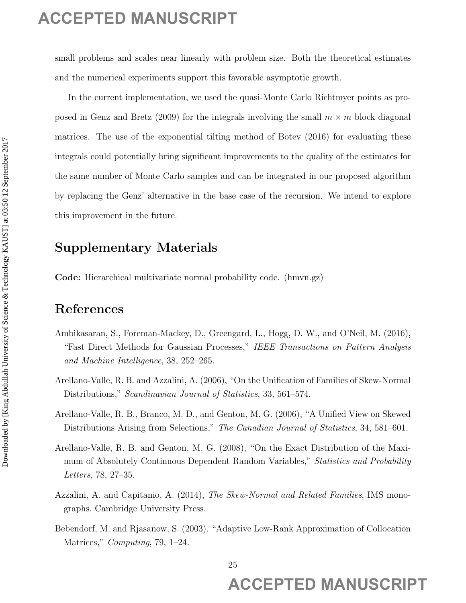small problems and scales near linearly with problem size. Both the theoretical estimates and the numerical experiments support this favorable asymptotic growth.

In the current implementation, we used the quasi-Monte Carlo Richtmyer points as proposed in Genz and Bretz (2009) for the integrals involving the small  $m \times m$  block diagonal matrices. The use of the exponential tilting method of Botev (2016) for evaluating these integrals could potentially bring significant improvements to the quality of the estimates for the same number of Monte Carlo samples and can be integrated in our proposed algorithm by replacing the Genz' alternative in the base case of the recursion. We intend to explore this improvement in the future. **ACCEPTED MANUSCRIPT**<br> **Analysis and scales are linearly with problem size. Both the through with a model of manuscript the presenting points as one of the content of the content of the september 2019 (see contenting the** 

## Supplementary Materials

Code: Hierarchical multivariate normal probability code. (hmvn.gz)

## References

- Ambikasaran, S., Foreman-Mackey, D., Greengard, L., Hogg, D. W., and O'Neil, M. (2016), "Fast Direct Methods for Gaussian Processes," IEEE Transactions on Pattern Analysis and Machine Intelligence, 38, 252–265.
- Arellano-Valle, R. B. and Azzalini, A. (2006), "On the Unification of Families of Skew-Normal Distributions," Scandinavian Journal of Statistics, 33, 561–574.
- Arellano-Valle, R. B., Branco, M. D., and Genton, M. G. (2006), "A Unified View on Skewed Distributions Arising from Selections," The Canadian Journal of Statistics, 34, 581–601.
- Arellano-Valle, R. B. and Genton, M. G. (2008), "On the Exact Distribution of the Maximum of Absolutely Continuous Dependent Random Variables," Statistics and Probability Letters, 78, 27–35.
- Azzalini, A. and Capitanio, A. (2014), The Skew-Normal and Related Families, IMS monographs. Cambridge University Press.
- Bebendorf, M. and Rjasanow, S. (2003), "Adaptive Low-Rank Approximation of Collocation Matrices," *Computing*, 79, 1–24.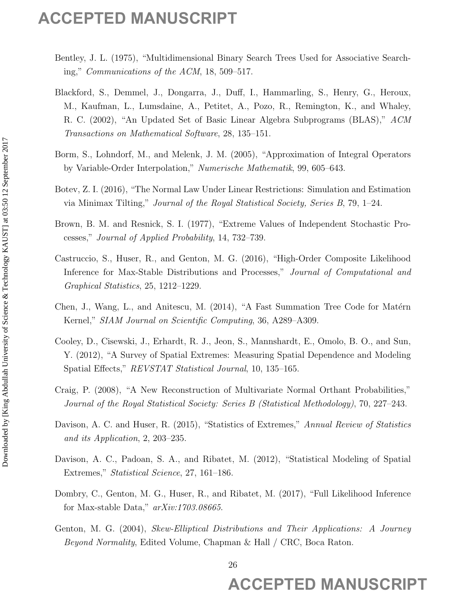- Bentley, J. L. (1975), "Multidimensional Binary Search Trees Used for Associative Searching," Communications of the ACM, 18, 509–517.
- Blackford, S., Demmel, J., Dongarra, J., Duff, I., Hammarling, S., Henry, G., Heroux, M., Kaufman, L., Lumsdaine, A., Petitet, A., Pozo, R., Remington, K., and Whaley, R. C. (2002), "An Updated Set of Basic Linear Algebra Subprograms (BLAS)," ACM Transactions on Mathematical Software, 28, 135–151. **ACCEPTED MANUSCRIPT**<br>
Bonder, J. L. (1977), "Malkilannomana Binary Search, Toss Used for Aventuating S. Bonder<br>
16g.<sup>2</sup> Geometrichten of the ACM 18, 800-617.<br> **Bonder, S. Domana J. J. Domana D. J. P. Hommana Dign S.** Bond
	- Borm, S., Lohndorf, M., and Melenk, J. M. (2005), "Approximation of Integral Operators by Variable-Order Interpolation," Numerische Mathematik, 99, 605–643.
	- Botev, Z. I. (2016), "The Normal Law Under Linear Restrictions: Simulation and Estimation via Minimax Tilting," Journal of the Royal Statistical Society, Series B, 79, 1–24.
	- Brown, B. M. and Resnick, S. I. (1977), "Extreme Values of Independent Stochastic Processes," Journal of Applied Probability, 14, 732–739.
	- Castruccio, S., Huser, R., and Genton, M. G. (2016), "High-Order Composite Likelihood Inference for Max-Stable Distributions and Processes," Journal of Computational and Graphical Statistics, 25, 1212–1229.
	- Chen, J., Wang, L., and Anitescu, M. (2014), "A Fast Summation Tree Code for Matérn Kernel," SIAM Journal on Scientific Computing, 36, A289–A309.
	- Cooley, D., Cisewski, J., Erhardt, R. J., Jeon, S., Mannshardt, E., Omolo, B. O., and Sun, Y. (2012), "A Survey of Spatial Extremes: Measuring Spatial Dependence and Modeling Spatial Effects," REVSTAT Statistical Journal, 10, 135–165.
	- Craig, P. (2008), "A New Reconstruction of Multivariate Normal Orthant Probabilities," Journal of the Royal Statistical Society: Series B (Statistical Methodology), 70, 227–243.
	- Davison, A. C. and Huser, R. (2015), "Statistics of Extremes," Annual Review of Statistics and its Application, 2, 203–235.
	- Davison, A. C., Padoan, S. A., and Ribatet, M. (2012), "Statistical Modeling of Spatial Extremes," Statistical Science, 27, 161–186.
	- Dombry, C., Genton, M. G., Huser, R., and Ribatet, M. (2017), "Full Likelihood Inference for Max-stable Data," arXiv:1703.08665.
	- Genton, M. G. (2004), Skew-Elliptical Distributions and Their Applications: A Journey Beyond Normality, Edited Volume, Chapman & Hall / CRC, Boca Raton.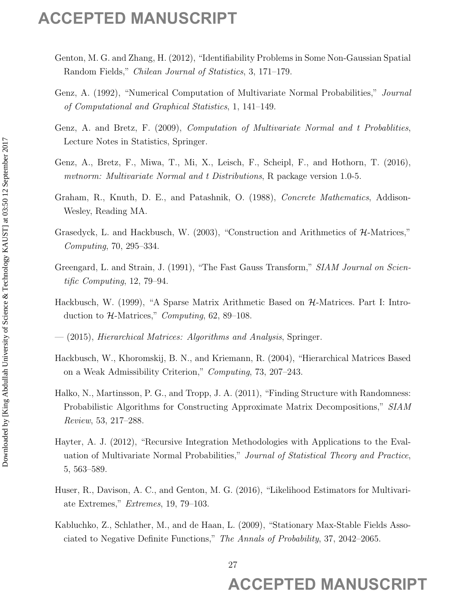- Genton, M. G. and Zhang, H. (2012), "Identifiability Problems in Some Non-Gaussian Spatial Random Fields," Chilean Journal of Statistics, 3, 171–179.
- Genz, A. (1992), "Numerical Computation of Multivariate Normal Probabilities," Journal of Computational and Graphical Statistics, 1, 141–149.
- Genz, A. and Bretz, F. (2009), Computation of Multivariate Normal and t Probablities, Lecture Notes in Statistics, Springer.
- Genz, A., Bretz, F., Miwa, T., Mi, X., Leisch, F., Scheipl, F., and Hothorn, T. (2016), mutnorm: Multivariate Normal and t Distributions, R package version 1.0-5.
- Graham, R., Knuth, D. E., and Patashnik, O. (1988), Concrete Mathematics, Addison-Wesley, Reading MA.
- Grasedyck, L. and Hackbusch, W. (2003), "Construction and Arithmetics of H-Matrices," Computing, 70, 295–334.
- Greengard, L. and Strain, J. (1991), "The Fast Gauss Transform," SIAM Journal on Scientific Computing, 12, 79–94.
- Hackbusch, W. (1999), "A Sparse Matrix Arithmetic Based on  $H$ -Matrices. Part I: Introduction to  $H$ -Matrices," *Computing*, 62, 89–108.
- $-$  (2015), *Hierarchical Matrices: Algorithms and Analysis*, Springer.
- Hackbusch, W., Khoromskij, B. N., and Kriemann, R. (2004), "Hierarchical Matrices Based on a Weak Admissibility Criterion," Computing, 73, 207–243.
- Halko, N., Martinsson, P. G., and Tropp, J. A. (2011), "Finding Structure with Randomness: Probabilistic Algorithms for Constructing Approximate Matrix Decompositions," SIAM Review, 53, 217–288.
- Hayter, A. J. (2012), "Recursive Integration Methodologies with Applications to the Evaluation of Multivariate Normal Probabilities," Journal of Statistical Theory and Practice, 5, 563–589. **ACCEPTED MANUSCRIPT**<br>
Center, M. G. and Ztang, H. (2012), "Basilificities, 2, 171–174.<br>
Center Fields", "Orient Accesso of Sciencials, 3, 171–174.<br>
Center Fields", "Orient Accesso of Sciencials, 3, 171–174.<br>
Center R. A.
	- Huser, R., Davison, A. C., and Genton, M. G. (2016), "Likelihood Estimators for Multivariate Extremes," Extremes, 19, 79–103.
	- Kabluchko, Z., Schlather, M., and de Haan, L. (2009), "Stationary Max-Stable Fields Associated to Negative Definite Functions," The Annals of Probability, 37, 2042–2065.